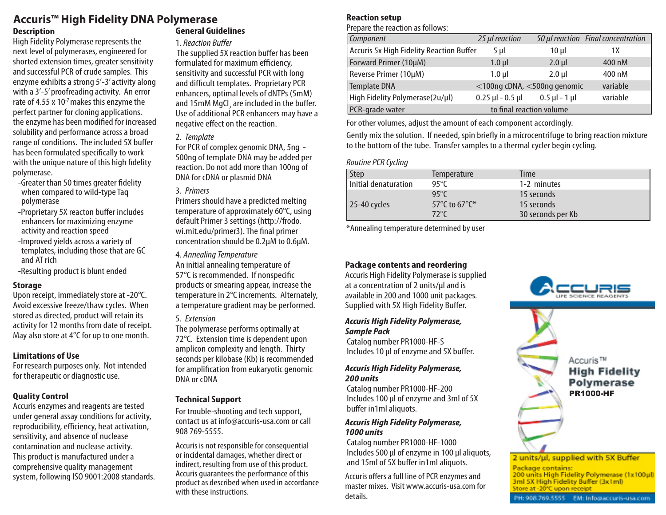# **Accuris™ High Fidelity DNA Polymerase**

#### **Description**

High Fidelity Polymerase represents the next level of polymerases, engineered for shorted extension times, greater sensitivity and successful PCR of crude samples. This enzyme exhibits a strong 5'-3' activity along with a 3'-5' proofreading activity. An error rate of 4.55 x 10 $<sup>7</sup>$  makes this enzyme the</sup> perfect partner for cloning applications. the enzyme has been modified for increased solubility and performance across a broad range of conditions. The included 5X buffer has been formulated specifically to work with the unique nature of this high fidelity polymerase.

- -Greater than 50 times greater fidelity when compared to wild-type Taq polymerase
- -Proprietary 5X reacton buffer includes enhancers for maximizing enzyme activity and reaction speed
- -Improved yields across a variety of templates, including those that are GC and AT rich
- -Resulting product is blunt ended

#### **Storage**

Upon receipt, immediately store at -20°C. Avoid excessive freeze/thaw cycles. When stored as directed, product will retain its activity for 12 months from date of receipt. May also store at 4°C for up to one month.

#### **Limitations of Use**

For research purposes only. Not intended for therapeutic or diagnostic use.

#### **Quality Control**

Accuris enzymes and reagents are tested under general assay conditions for activity, reproducibility, efficiency, heat activation, sensitivity, and absence of nuclease contamination and nuclease activity. This product is manufactured under a comprehensive quality management system, following ISO 9001:2008 standards.

# **General Guidelines**

#### 1. *Reaction Buffer*

 The supplied 5X reaction buffer has been formulated for maximum efficiency, sensitivity and successful PCR with long and difficult templates. Proprietary PCR enhancers, optimal levels of dNTPs (5mM) and 15mM MgCl<sub>2</sub> are included in the buffer. Use of additional PCR enhancers may have a negative effect on the reaction.

# 2. *Template*

For PCR of complex genomic DNA, 5ng - 500ng of template DNA may be added per reaction. Do not add more than 100ng of DNA for cDNA or plasmid DNA

# 3. *Primers*

Primers should have a predicted melting temperature of approximately 60°C, using default Primer 3 settings (http://frodo. wi.mit.edu/primer3). The final primer concentration should be 0.2µM to 0.6µM.

4. *Annealing Temperature*

An initial annealing temperature of 57°C is recommended. If nonspecific products or smearing appear, increase the temperature in 2°C increments. Alternately, a temperature gradient may be performed.

#### 5. *Extension*

The polymerase performs optimally at 72°C. Extension time is dependent upon amplicon complexity and length. Thirty seconds per kilobase (Kb) is recommended for amplification from eukaryotic genomic DNA or cDNA

#### **Technical Support**

For trouble-shooting and tech support, contact us at info@accuris-usa.com or call 908 769-5555.

Accuris is not responsible for consequential or incidental damages, whether direct or indirect, resulting from use of this product. Accuris guarantees the performance of this product as described when used in accordance with these instructions.

# **Reaction setup**

Prepare the reaction as follows:

| Component                                | 25 µl reaction       |                             | 50 µl reaction Final concentration |
|------------------------------------------|----------------------|-----------------------------|------------------------------------|
| Accuris 5x High Fidelity Reaction Buffer | $5 \mu$              | $10 \mu$                    | 1Χ                                 |
| Forward Primer (10µM)                    | $1.0$ µ              | $2.0$ µ                     | 400 nM                             |
| Reverse Primer (10µM)                    | $1.0 \mu$            | $2.0 \mu$                   | 400 nM                             |
| Template DNA                             |                      | <100ng cDNA, <500ng genomic | variable                           |
| High Fidelity Polymerase(2u/µl)          | $0.25$ µl - $0.5$ µl | $0.5$ µl - 1 µl             | variable                           |
| PCR-grade water                          |                      | to final reaction volume    |                                    |

For other volumes, adjust the amount of each component accordingly.

Gently mix the solution. If needed, spin briefly in a microcentrifuge to bring reaction mixture to the bottom of the tube. Transfer samples to a thermal cycler begin cycling.

# *Routine PCR Cycling*

| Step                 | Temperature   | Time              |
|----------------------|---------------|-------------------|
| Initial denaturation | 95°C          | 1-2 minutes       |
|                      | $95^{\circ}C$ | 15 seconds        |
| 25-40 cycles         | 57°C to 67°C* | 15 seconds        |
|                      | 72°C          | 30 seconds per Kb |

\*Annealing temperature determined by user

# **Package contents and reordering**

Accuris High Fidelity Polymerase is supplied at a concentration of 2 units/µl and is available in 200 and 1000 unit packages. Supplied with 5X High Fidelity Buffer.

#### *Accuris High Fidelity Polymerase, Sample Pack*

 Catalog number PR1000-HF-S Includes 10 µl of enzyme and 5X buffer.

#### *Accuris High Fidelity Polymerase, 200 units*

 Catalog number PR1000-HF-200 Includes 100 µl of enzyme and 3ml of 5X buffer in1ml aliquots.

#### *Accuris High Fidelity Polymerase, 1000 units*

 Catalog number PR1000-HF-1000 Includes 500 µl of enzyme in 100 µl aliquots, and 15ml of 5X buffer in1ml aliquots.

Accuris offers a full line of PCR enzymes and master mixes. Visit www.accuris-usa.com for details.



Package contains: 200 units High Fidelity Polymerase (1x100ul) 3ml 5X High Fidelity Buffer (3x1ml) Store at -20°C upon receipt

EM: Info@accuris-usa.com

PH: 908.769.5555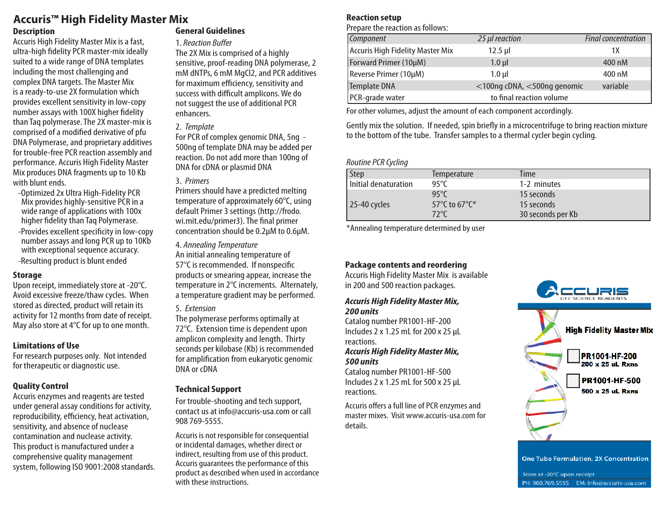# **Accuris™ High Fidelity Master Mix**

#### **Description**

Accuris High Fidelity Master Mix is a fast, ultra-high fidelity PCR master-mix ideally suited to a wide range of DNA templates including the most challenging and complex DNA targets. The Master Mix is a ready-to-use 2X formulation which provides excellent sensitivity in low-copy number assays with 100X higher fidelity than Taq polymerase. The 2X master-mix is comprised of a modified derivative of pfu DNA Polymerase, and proprietary additives for trouble-free PCR reaction assembly and performance. Accuris High Fidelity Master Mix produces DNA fragments up to 10 Kb with blunt ends.

- -Optimized 2x Ultra High-Fidelity PCR Mix provides highly-sensitive PCR in a wide range of applications with 100x higher fidelity than Taq Polymerase.
- -Provides excellent specificity in low-copy number assays and long PCR up to 10Kb with exceptional sequence accuracy. -Resulting product is blunt ended

#### **Storage**

Upon receipt, immediately store at -20°C. Avoid excessive freeze/thaw cycles. When stored as directed, product will retain its activity for 12 months from date of receipt. May also store at 4°C for up to one month.

#### **Limitations of Use**

For research purposes only. Not intended for therapeutic or diagnostic use.

# **Quality Control**

Accuris enzymes and reagents are tested under general assay conditions for activity, reproducibility, efficiency, heat activation, sensitivity, and absence of nuclease contamination and nuclease activity. This product is manufactured under a comprehensive quality management system, following ISO 9001:2008 standards.

# **General Guidelines**

# 1. *Reaction Buffer*

The 2X Mix is comprised of a highly sensitive, proof-reading DNA polymerase, 2 mM dNTPs, 6 mM MgCl2, and PCR additives for maximum efficiency, sensitivity and success with difficult amplicons. We do not suggest the use of additional PCR enhancers.

# 2. *Template*

For PCR of complex genomic DNA, 5ng - 500ng of template DNA may be added per reaction. Do not add more than 100ng of DNA for cDNA or plasmid DNA

# 3. *Primers*

Primers should have a predicted melting temperature of approximately 60°C, using default Primer 3 settings (http://frodo. wi.mit.edu/primer3). The final primer concentration should be 0.2µM to 0.6µM.

#### 4. *Annealing Temperature*

An initial annealing temperature of 57°C is recommended. If nonspecific products or smearing appear, increase the temperature in 2°C increments. Alternately, a temperature gradient may be performed.

# 5. *Extension*

The polymerase performs optimally at 72°C. Extension time is dependent upon amplicon complexity and length. Thirty seconds per kilobase (Kb) is recommended for amplification from eukaryotic genomic DNA or cDNA

# **Technical Support**

For trouble-shooting and tech support, contact us at info@accuris-usa.com or call 908 769-5555.

Accuris is not responsible for consequential or incidental damages, whether direct or indirect, resulting from use of this product. Accuris guarantees the performance of this product as described when used in accordance with these instructions.

# **Reaction setup**

Prepare the reaction as follows:

| Component                        | 25 µl reaction              | <b>Final concentration</b> |
|----------------------------------|-----------------------------|----------------------------|
| Accuris High Fidelity Master Mix | $12.5$ µl                   | 1Χ                         |
| Forward Primer (10µM)            | $1.0$ $\mu$                 | 400 nM                     |
| Reverse Primer (10µM)            | $1.0$ ul                    | 400 nM                     |
| Template DNA                     | <100ng cDNA, <500ng genomic | variable                   |
| PCR-grade water                  | to final reaction volume    |                            |

For other volumes, adjust the amount of each component accordingly.

Gently mix the solution. If needed, spin briefly in a microcentrifuge to bring reaction mixture to the bottom of the tube. Transfer samples to a thermal cycler begin cycling.

# *Routine PCR Cycling*

| Step                 | <b>Temperature</b> | Time              |
|----------------------|--------------------|-------------------|
| Initial denaturation | 95°C               | 1-2 minutes       |
|                      | $95^{\circ}$ C     | 15 seconds        |
| 25-40 cycles         | 57°C to 67°C*      | 15 seconds        |
|                      | 72°C               | 30 seconds per Kb |

\*Annealing temperature determined by user

# **Package contents and reordering**

Accuris High Fidelity Master Mix is available in 200 and 500 reaction packages.

#### *Accuris High Fidelity Master Mix, 200 units*

Catalog number PR1001-HF-200 Includes 2 x 1.25 mL for 200 x 25 µL reactions. *Accuris High Fidelity Master Mix, 500 units*

Catalog number PR1001-HF-500 Includes 2 x 1.25 mL for 500 x 25 µL reactions.

Accuris offers a full line of PCR enzymes and master mixes. Visit www.accuris-usa.com for details.